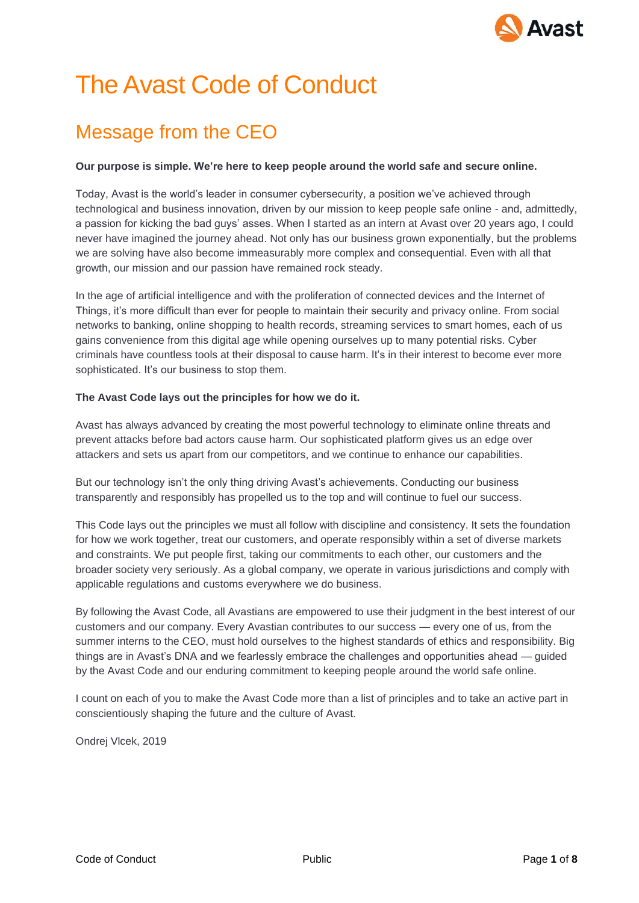

# The Avast Code of Conduct

# Message from the CEO

#### **Our purpose is simple. We're here to keep people around the world safe and secure online.**

Today, Avast is the world's leader in consumer cybersecurity, a position we've achieved through technological and business innovation, driven by our mission to keep people safe online - and, admittedly, a passion for kicking the bad guys' asses. When I started as an intern at Avast over 20 years ago, I could never have imagined the journey ahead. Not only has our business grown exponentially, but the problems we are solving have also become immeasurably more complex and consequential. Even with all that growth, our mission and our passion have remained rock steady.

In the age of artificial intelligence and with the proliferation of connected devices and the Internet of Things, it's more difficult than ever for people to maintain their security and privacy online. From social networks to banking, online shopping to health records, streaming services to smart homes, each of us gains convenience from this digital age while opening ourselves up to many potential risks. Cyber criminals have countless tools at their disposal to cause harm. It's in their interest to become ever more sophisticated. It's our business to stop them.

#### **The Avast Code lays out the principles for how we do it.**

Avast has always advanced by creating the most powerful technology to eliminate online threats and prevent attacks before bad actors cause harm. Our sophisticated platform gives us an edge over attackers and sets us apart from our competitors, and we continue to enhance our capabilities.

But our technology isn't the only thing driving Avast's achievements. Conducting our business transparently and responsibly has propelled us to the top and will continue to fuel our success.

This Code lays out the principles we must all follow with discipline and consistency. It sets the foundation for how we work together, treat our customers, and operate responsibly within a set of diverse markets and constraints. We put people first, taking our commitments to each other, our customers and the broader society very seriously. As a global company, we operate in various jurisdictions and comply with applicable regulations and customs everywhere we do business.

By following the Avast Code, all Avastians are empowered to use their judgment in the best interest of our customers and our company. Every Avastian contributes to our success — every one of us, from the summer interns to the CEO, must hold ourselves to the highest standards of ethics and responsibility. Big things are in Avast's DNA and we fearlessly embrace the challenges and opportunities ahead — guided by the Avast Code and our enduring commitment to keeping people around the world safe online.

I count on each of you to make the Avast Code more than a list of principles and to take an active part in conscientiously shaping the future and the culture of Avast.

Ondrej Vlcek, 2019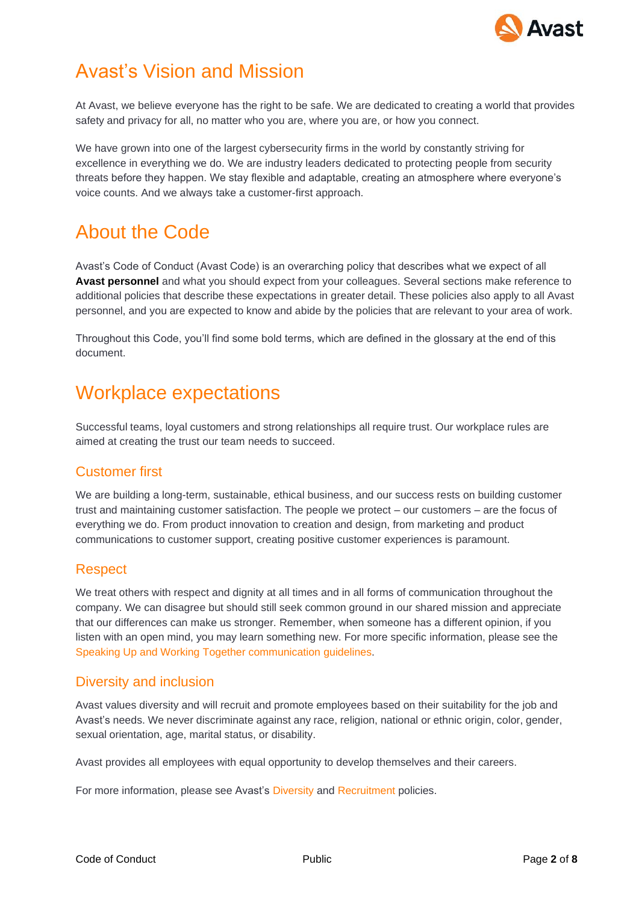

## Avast's Vision and Mission

At Avast, we believe everyone has the right to be safe. We are dedicated to creating a world that provides safety and privacy for all, no matter who you are, where you are, or how you connect.

We have grown into one of the largest cybersecurity firms in the world by constantly striving for excellence in everything we do. We are industry leaders dedicated to protecting people from security [threats b](https://www.avast.com/c-online-threats)efore they happen. We stay flexible and adaptable, creating an atmosphere where everyone's voice counts. And we always take a customer-first approach.

### About the Code

Avast's Code of Conduct (Avast Code) is an overarching policy that describes what we expect of all **Avast personnel** and what you should expect from your colleagues. Several sections make reference to additional policies that describe these expectations in greater detail. These policies also apply to all Avast personnel, and you are expected to know and abide by the policies that are relevant to your area of work.

Throughout this Code, you'll find some bold terms, which are defined in the glossary at the end of this document.

### Workplace expectations

Successful teams, loyal customers and strong relationships all require trust. Our workplace rules are aimed at creating the trust our team needs to succeed.

#### Customer first

We are building a long-term, sustainable, ethical business, and our success rests on building customer trust and maintaining customer satisfaction. The people we protect – our customers – are the focus of everything we do. From product innovation to creation and design, from marketing and product communications to customer support, creating positive customer experiences is paramount.

#### **Respect**

We treat others with respect and dignity at all times and in all forms of communication throughout the company. We can disagree but should still seek common ground in our shared mission and appreciate that our differences can make us stronger. Remember, when someone has a different opinion, if you listen with an open mind, you may learn something new. For more specific information, please see the Speaking Up and Working Together communication guidelines.

#### Diversity and inclusion

Avast values diversity and will recruit and promote employees based on their suitability for the job and Avast's needs. We never discriminate against any race, religion, national or ethnic origin, color, gender, sexual orientation, age, marital status, or disability.

Avast provides all employees with equal opportunity to develop themselves and their careers.

For more information, please see Avast's Diversity and Recruitment policies.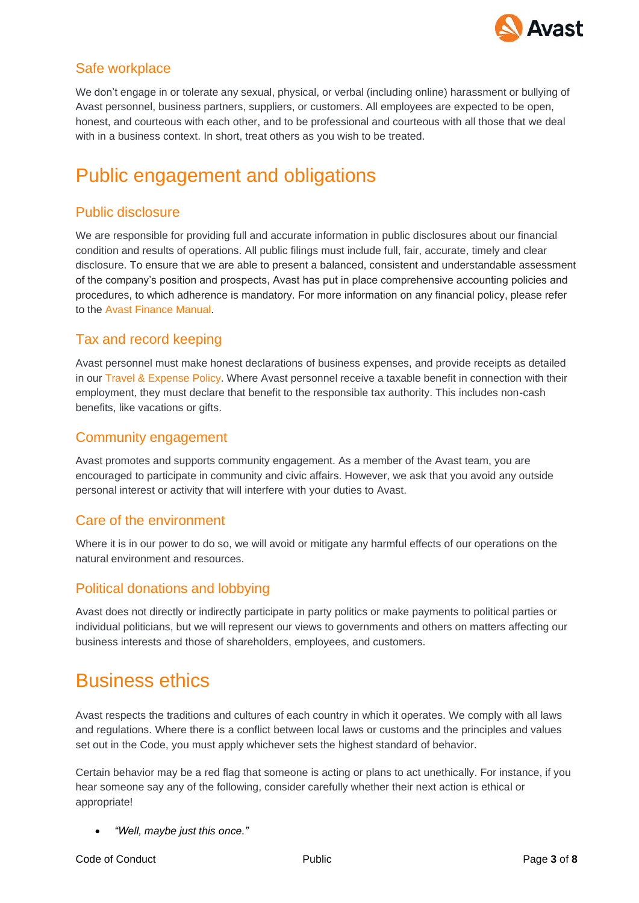

### Safe workplace

We don't engage in or tolerate any sexual, physical, or verbal (including online) harassment or bullying of Avast personnel, business partners, suppliers, or customers. All employees are expected to be open, honest, and courteous with each other, and to be professional and courteous with all those that we deal with in a business context. In short, treat others as you wish to be treated.

## Public engagement and obligations

### Public disclosure

We are responsible for providing full and accurate information in public disclosures about our financial condition and results of operations. All public filings must include full, fair, accurate, timely and clear disclosure. To ensure that we are able to present a balanced, consistent and understandable assessment of the company's position and prospects, Avast has put in place comprehensive accounting policies and procedures, to which adherence is mandatory. For more information on any financial policy, please refer to the Avast Finance Manual.

#### Tax and record keeping

Avast personnel must make honest declarations of business expenses, and provide receipts as detailed in our Travel & Expense Policy. Where Avast personnel receive a taxable benefit in connection with their employment, they must declare that benefit to the responsible tax authority. This includes non-cash benefits, like vacations or gifts.

#### Community engagement

Avast promotes and supports community engagement. As a member of the Avast team, you are encouraged to participate in community and civic affairs. However, we ask that you avoid any outside personal interest or activity that will interfere with your duties to Avast.

#### Care of the environment

Where it is in our power to do so, we will avoid or mitigate any harmful effects of our operations on the natural environment and resources.

#### Political donations and lobbying

Avast does not directly or indirectly participate in party politics or make payments to political parties or individual politicians, but we will represent our views to governments and others on matters affecting our business interests and those of shareholders, employees, and customers.

### Business ethics

Avast respects the traditions and cultures of each country in which it operates. We comply with all laws and regulations. Where there is a conflict between local laws or customs and the principles and values set out in the Code, you must apply whichever sets the highest standard of behavior.

Certain behavior may be a red flag that someone is acting or plans to act unethically. For instance, if you hear someone say any of the following, consider carefully whether their next action is ethical or appropriate!

• *"Well, maybe just this once."*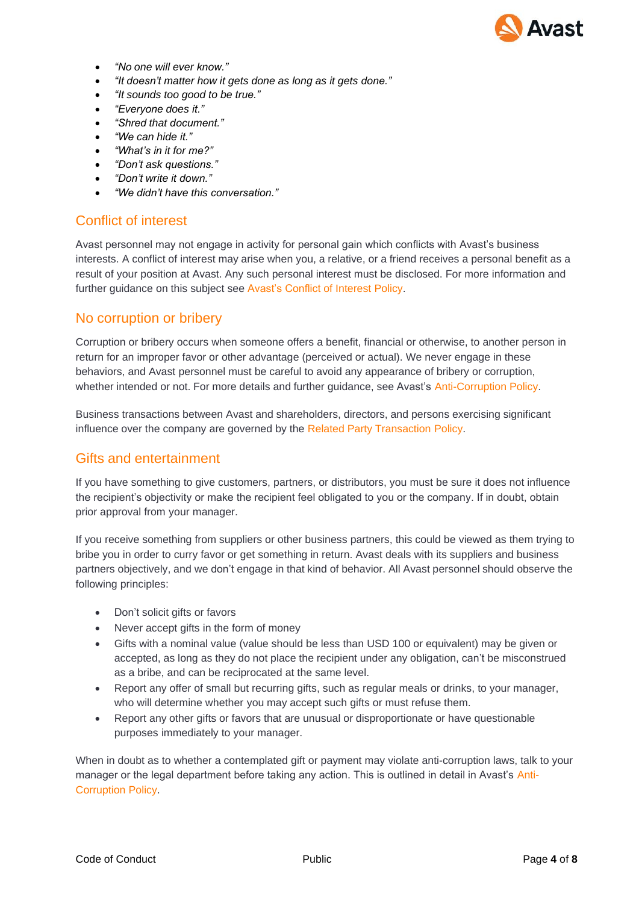

- *"No one will ever know."*
- *"It doesn't matter how it gets done as long as it gets done."*
- *"It sounds too good to be true."*
- *"Everyone does it."*
- *"Shred that document."*
- *"We can hide it."*
- *"What's in it for me?"*
- *"Don't ask questions."*
- *"Don't write it down."*
- *"We didn't have this conversation."*

#### Conflict of interest

Avast personnel may not engage in activity for personal gain which conflicts with Avast's business interests. A conflict of interest may arise when you, a relative, or a friend receives a personal benefit as a result of your position at Avast. Any such personal interest must be disclosed. For more information and further guidance on this subject see Avast's Conflict of Interest Policy.

#### No corruption or bribery

Corruption or bribery occurs when someone offers a benefit, financial or otherwise, to another person in return for an improper favor or other advantage (perceived or actual). We never engage in these behaviors, and Avast personnel must be careful to avoid any appearance of bribery or corruption, whether intended or not. For more details and further guidance, see Avast's Anti-Corruption Policy.

Business transactions between Avast and shareholders, directors, and persons exercising significant influence over the company are governed by the Related Party Transaction Policy.

#### Gifts and entertainment

If you have something to give customers, partners, or distributors, you must be sure it does not influence the recipient's objectivity or make the recipient feel obligated to you or the company. If in doubt, obtain prior approval from your manager.

If you receive something from suppliers or other business partners, this could be viewed as them trying to bribe you in order to curry favor or get something in return. Avast deals with its suppliers and business partners objectively, and we don't engage in that kind of behavior. All Avast personnel should observe the following principles:

- Don't solicit gifts or favors
- Never accept gifts in the form of money
- Gifts with a nominal value (value should be less than USD 100 or equivalent) may be given or accepted, as long as they do not place the recipient under any obligation, can't be misconstrued as a bribe, and can be reciprocated at the same level.
- Report any offer of small but recurring gifts, such as regular meals or drinks, to your manager, who will determine whether you may accept such gifts or must refuse them.
- Report any other gifts or favors that are unusual or disproportionate or have questionable purposes immediately to your manager.

When in doubt as to whether a contemplated gift or payment may violate anti-corruption laws, talk to your manager or the legal department before taking any action. This is outlined in detail in Avast's Anti-Corruption Policy.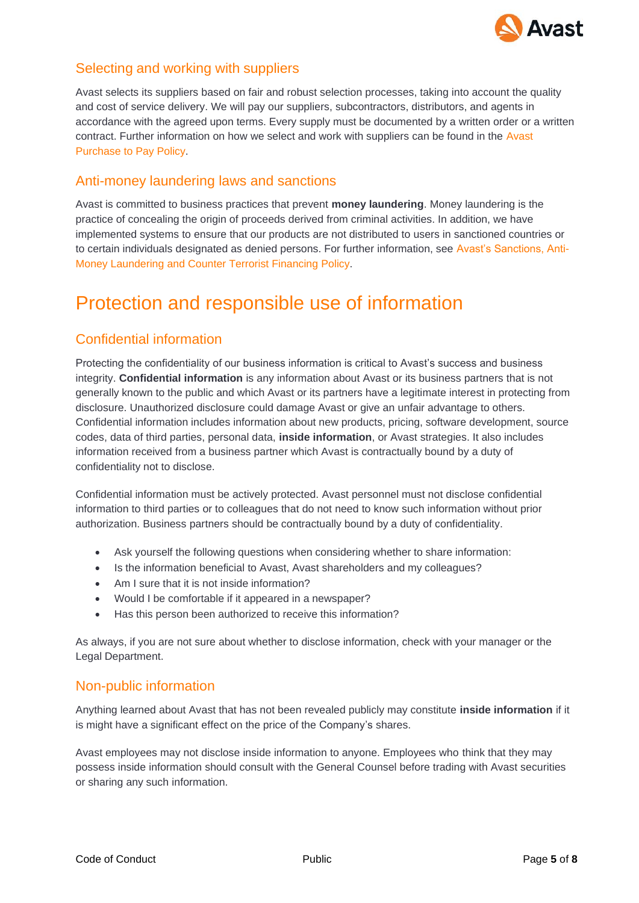

#### Selecting and working with suppliers

Avast selects its suppliers based on fair and robust selection processes, taking into account the quality and cost of service delivery. We will pay our suppliers, subcontractors, distributors, and agents in accordance with the agreed upon terms. Every supply must be documented by a written order or a written contract. Further information on how we select and work with suppliers can be found in the Avast Purchase to Pay Policy.

#### Anti-money laundering laws and sanctions

Avast is committed to business practices that prevent **money laundering**. Money laundering is the practice of concealing the origin of proceeds derived from criminal activities. In addition, we have implemented systems to ensure that our products are not distributed to users in sanctioned countries or to certain individuals designated as denied persons. For further information, see Avast's Sanctions, Anti-Money Laundering and Counter Terrorist Financing Policy.

### Protection and responsible use of information

### Confidential information

Protecting the confidentiality of our business information is critical to Avast's success and business integrity. **Confidential information** is any information about Avast or its business partners that is not generally known to the public and which Avast or its partners have a legitimate interest in protecting from disclosure. Unauthorized disclosure could damage Avast or give an unfair advantage to others. Confidential information includes information about new products, pricing, software development, source codes, data of third parties, personal data, **inside information**, or Avast strategies. It also includes information received from a business partner which Avast is contractually bound by a duty of confidentiality not to disclose.

Confidential information must be actively protected. Avast personnel must not disclose confidential information to third parties or to colleagues that do not need to know such information without prior authorization. Business partners should be contractually bound by a duty of confidentiality.

- Ask yourself the following questions when considering whether to share information:
- Is the information beneficial to Avast, Avast shareholders and my colleagues?
- Am I sure that it is not inside information?
- Would I be comfortable if it appeared in a newspaper?
- Has this person been authorized to receive this information?

As always, if you are not sure about whether to disclose information, check with your manager or the Legal Department.

#### Non-public information

Anything learned about Avast that has not been revealed publicly may constitute **inside information** if it is might have a significant effect on the price of the Company's shares.

Avast employees may not disclose inside information to anyone. Employees who think that they may possess inside information should consult with the General Counsel before trading with Avast securities or sharing any such information.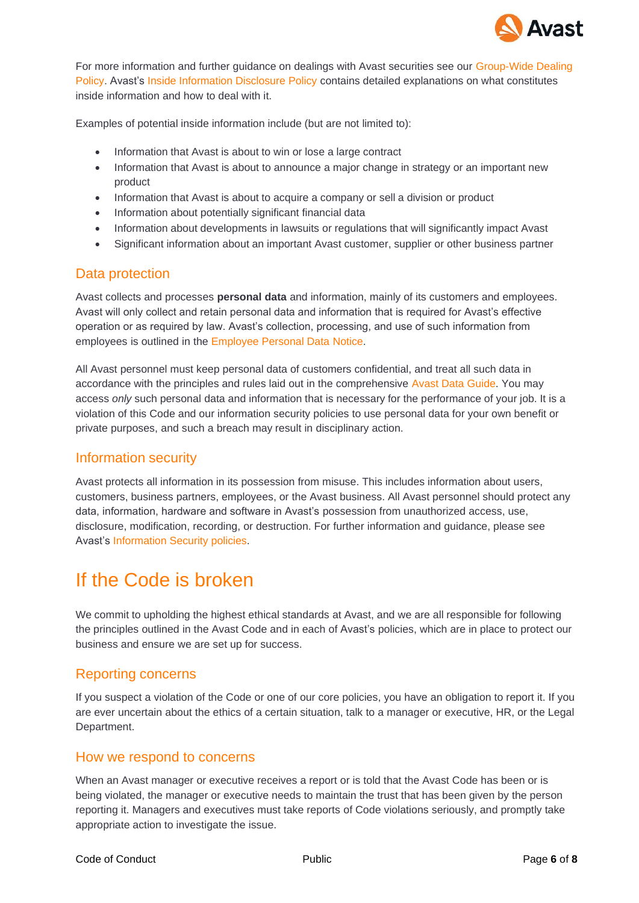

For more information and further guidance on dealings with Avast securities see our Group-Wide Dealing Policy. Avast's Inside Information Disclosure Policy contains detailed explanations on what constitutes inside information and how to deal with it.

Examples of potential inside information include (but are not limited to):

- Information that Avast is about to win or lose a large contract
- Information that Avast is about to announce a major change in strategy or an important new product
- Information that Avast is about to acquire a company or sell a division or product
- Information about potentially significant financial data
- Information about developments in lawsuits or regulations that will significantly impact Avast
- Significant information about an important Avast customer, supplier or other business partner

#### Data protection

Avast collects and processes **personal data** and information, mainly of its customers and employees. Avast will only collect and retain personal data and information that is required for Avast's effective operation or as required by law. Avast's collection, processing, and use of such information from employees is outlined in the Employee Personal Data Notice.

All Avast personnel must keep personal data of customers confidential, and treat all such data in accordance with the principles and rules laid out in the comprehensive Avast Data Guide. You may access *only* such personal data and information that is necessary for the performance of your job. It is a violation of this Code and our information security policies to use personal data for your own benefit or private purposes, and such a breach may result in disciplinary action.

#### Information security

Avast protects all information in its possession from misuse. This includes information about users, customers, business partners, employees, or the Avast business. All Avast personnel should protect any data, information, hardware and software in Avast's possession from unauthorized access, use, disclosure, modification, recording, or destruction. For further information and guidance, please see Avast's Information Security policies.

### If the Code is broken

We commit to upholding the highest ethical standards at Avast, and we are all responsible for following the principles outlined in the Avast Code and in each of Avast's policies, which are in place to protect our business and ensure we are set up for success.

#### Reporting concerns

If you suspect a violation of the Code or one of our core policies, you have an obligation to report it. If you are ever uncertain about the ethics of a certain situation, talk to a manager or executive, HR, or the Legal Department.

#### How we respond to concerns

When an Avast manager or executive receives a report or is told that the Avast Code has been or is being violated, the manager or executive needs to maintain the trust that has been given by the person reporting it. Managers and executives must take reports of Code violations seriously, and promptly take appropriate action to investigate the issue.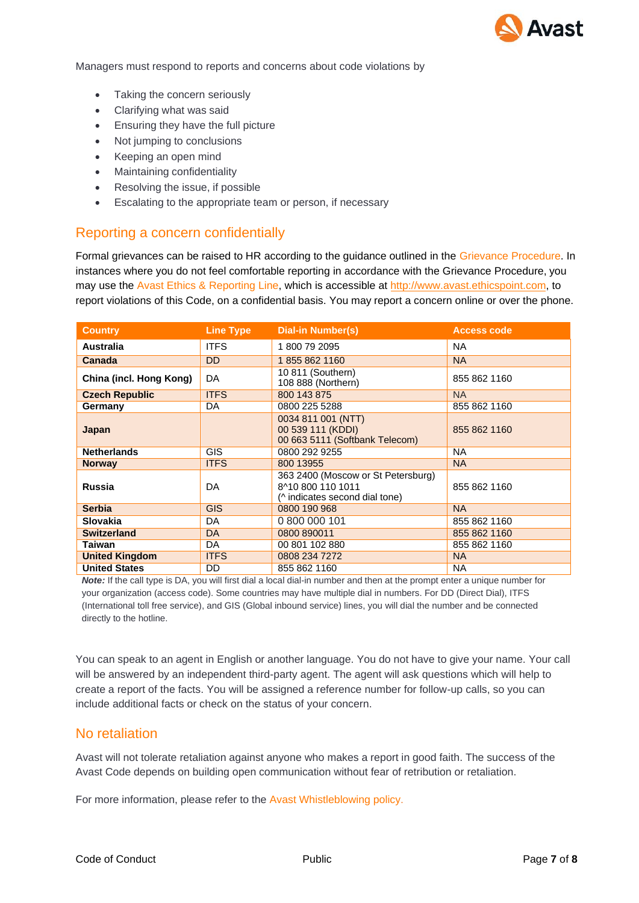

Managers must respond to reports and concerns about code violations by

- Taking the concern seriously
- Clarifying what was said
- Ensuring they have the full picture
- Not jumping to conclusions
- Keeping an open mind
- Maintaining confidentiality
- Resolving the issue, if possible
- Escalating to the appropriate team or person, if necessary

#### Reporting a concern confidentially

Formal grievances can be raised to HR according to the guidance outlined in the Grievance Procedure. In instances where you do not feel comfortable reporting in accordance with the Grievance Procedure, you may use the Avast Ethics & Reporting Line, which is accessible a[t http://www.avast.ethicspoint.com, t](http://www.avast.ethicspoint.com/)o report violations of this Code, on a confidential basis. You may report a concern online or over the phone.

| <b>Country</b>          | <b>Line Type</b> | <b>Dial-in Number(s)</b>                                                                  | <b>Access code</b> |
|-------------------------|------------------|-------------------------------------------------------------------------------------------|--------------------|
| <b>Australia</b>        | <b>ITFS</b>      | 1800 79 2095                                                                              | NA.                |
| Canada                  | <b>DD</b>        | 18558621160                                                                               | <b>NA</b>          |
| China (incl. Hong Kong) | DA               | 10 811 (Southern)<br>108 888 (Northern)                                                   | 855 862 1160       |
| <b>Czech Republic</b>   | <b>ITFS</b>      | 800 143 875                                                                               | <b>NA</b>          |
| Germany                 | DA               | 0800 225 5288                                                                             | 855 862 1160       |
| Japan                   |                  | 0034 811 001 (NTT)<br>00 539 111 (KDDI)<br>00 663 5111 (Softbank Telecom)                 | 855 862 1160       |
| <b>Netherlands</b>      | <b>GIS</b>       | 0800 292 9255                                                                             | NA.                |
| <b>Norway</b>           | <b>ITFS</b>      | 800 13955                                                                                 | <b>NA</b>          |
| <b>Russia</b>           | DA               | 363 2400 (Moscow or St Petersburg)<br>8^10 800 110 1011<br>(^ indicates second dial tone) | 855 862 1160       |
| <b>Serbia</b>           | <b>GIS</b>       | 0800 190 968                                                                              | <b>NA</b>          |
| <b>Slovakia</b>         | DA               | 0 800 000 101                                                                             | 855 862 1160       |
| <b>Switzerland</b>      | DA               | 0800 890011                                                                               | 855 862 1160       |
| Taiwan                  | DA               | 00 801 102 880                                                                            | 855 862 1160       |
| <b>United Kingdom</b>   | <b>ITFS</b>      | 0808 234 7272                                                                             | <b>NA</b>          |
| <b>United States</b>    | DD               | 855 862 1160                                                                              | NA.                |

*Note:* If the call type is DA, you will first dial a local dial-in number and then at the prompt enter a unique number for your organization (access code). Some countries may have multiple dial in numbers. For DD (Direct Dial), ITFS (International toll free service), and GIS (Global inbound service) lines, you will dial the number and be connected directly to the hotline.

You can speak to an agent in English or another language. You do not have to give your name. Your call will be answered by an independent third-party agent. The agent will ask questions which will help to create a report of the facts. You will be assigned a reference number for follow-up calls, so you can include additional facts or check on the status of your concern.

#### No retaliation

Avast will not tolerate retaliation against anyone who makes a report in good faith. The success of the Avast Code depends on building open communication without fear of retribution or retaliation.

For more information, please refer to the Avast Whistleblowing policy.